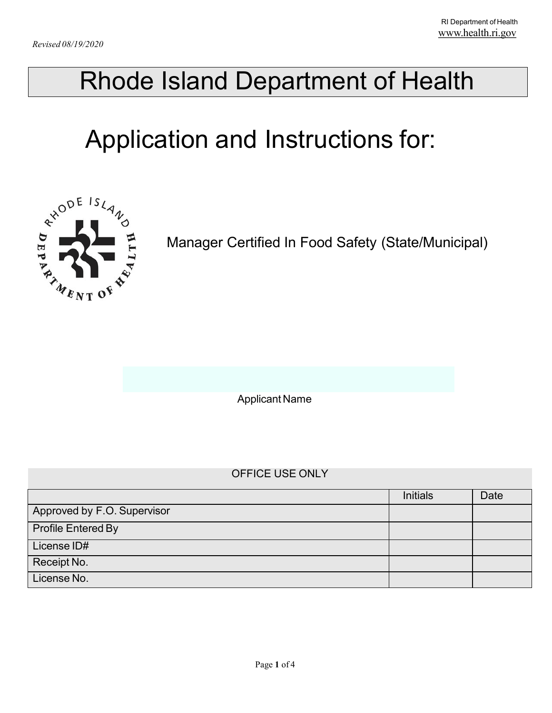# Rhode Island Department of Health

# Application and Instructions for:



Manager Certified In Food Safety (State/Municipal)

Applicant Name

#### OFFICE USE ONLY

|                             | <b>Initials</b> | Date |
|-----------------------------|-----------------|------|
| Approved by F.O. Supervisor |                 |      |
| Profile Entered By          |                 |      |
| License ID#                 |                 |      |
| Receipt No.                 |                 |      |
| License No.                 |                 |      |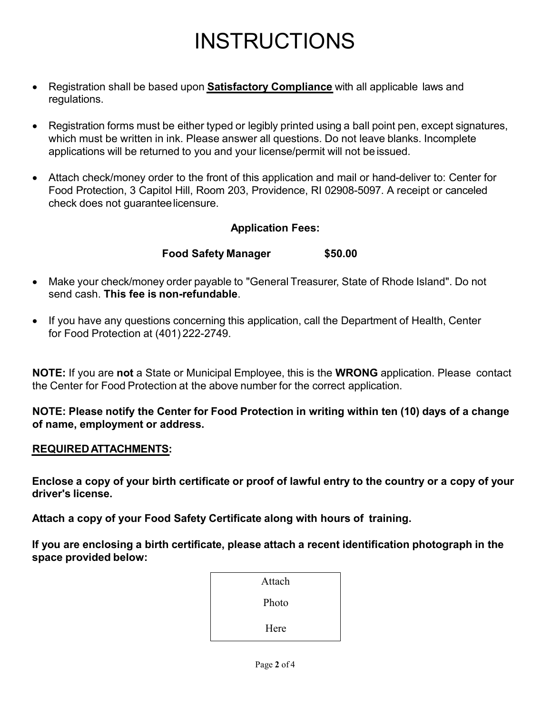### INSTRUCTIONS

- Registration shall be based upon **Satisfactory Compliance** with all applicable laws and regulations.
- Registration forms must be either typed or legibly printed using a ball point pen, except signatures, which must be written in ink. Please answer all questions. Do not leave blanks. Incomplete applications will be returned to you and your license/permit will not be issued.
- Attach check/money order to the front of this application and mail or hand-deliver to: Center for Food Protection, 3 Capitol Hill, Room 203, Providence, RI 02908-5097. A receipt or canceled check does not guaranteelicensure.

#### **Application Fees:**

#### **Food Safety Manager \$50.00**

- Make your check/money order payable to "General Treasurer, State of Rhode Island". Do not send cash. **This fee is non-refundable**.
- If you have any questions concerning this application, call the Department of Health, Center for Food Protection at (401) 222-2749.

**NOTE:** If you are **not** a State or Municipal Employee, this is the **WRONG** application. Please contact the Center for Food Protection at the above number for the correct application.

**NOTE: Please notify the Center for Food Protection in writing within ten (10) days of a change of name, employment or address.**

#### **REQUIREDATTACHMENTS:**

**Enclose a copy of your birth certificate or proof of lawful entry to the country or a copy of your driver's license.**

**Attach a copy of your Food Safety Certificate along with hours of training.**

**If you are enclosing a birth certificate, please attach a recent identification photograph in the space provided below:**

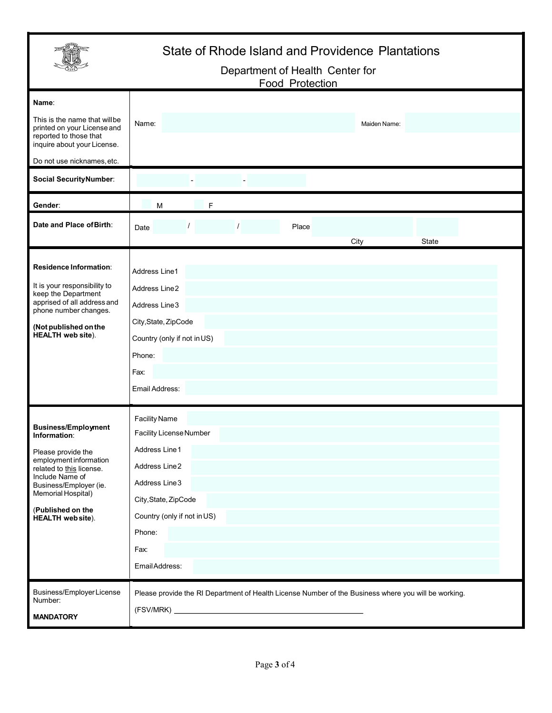### State of Rhode Island and Providence Plantations

#### Department of Health Center for Food Protection

| Name:<br>This is the name that willbe<br>printed on your License and<br>reported to those that<br>inquire about your License.<br>Do not use nicknames, etc.                                                                                | Name:<br>Maiden Name:                                                                                                                                                                         |
|--------------------------------------------------------------------------------------------------------------------------------------------------------------------------------------------------------------------------------------------|-----------------------------------------------------------------------------------------------------------------------------------------------------------------------------------------------|
| <b>Social SecurityNumber:</b>                                                                                                                                                                                                              |                                                                                                                                                                                               |
| Gender:                                                                                                                                                                                                                                    | F<br>M                                                                                                                                                                                        |
| Date and Place of Birth:                                                                                                                                                                                                                   | Place<br>Date<br>State<br>City                                                                                                                                                                |
| Residence Information:<br>It is your responsibility to<br>keep the Department<br>apprised of all address and<br>phone number changes.<br>(Not published on the<br><b>HEALTH</b> web site).                                                 | Address Line1<br>Address Line2<br>Address Line 3<br>City, State, ZipCode<br>Country (only if not in US)<br>Phone:<br>Fax:<br>Email Address:                                                   |
| <b>Business/Employment</b><br>Information:<br>Please provide the<br>employment information<br>related to this license.<br>Include Name of<br>Business/Employer (ie.<br>Memorial Hospital)<br>(Published on the<br><b>HEALTH</b> web site). | <b>Facility Name</b><br>Facility License Number<br>Address Line 1<br>Address Line2<br>Address Line3<br>City, State, ZipCode<br>Country (only if not in US)<br>Phone:<br>Fax:<br>EmailAddress: |
| Business/EmployerLicense<br>Number:<br><b>MANDATORY</b>                                                                                                                                                                                    | Please provide the RI Department of Health License Number of the Business where you will be working.                                                                                          |